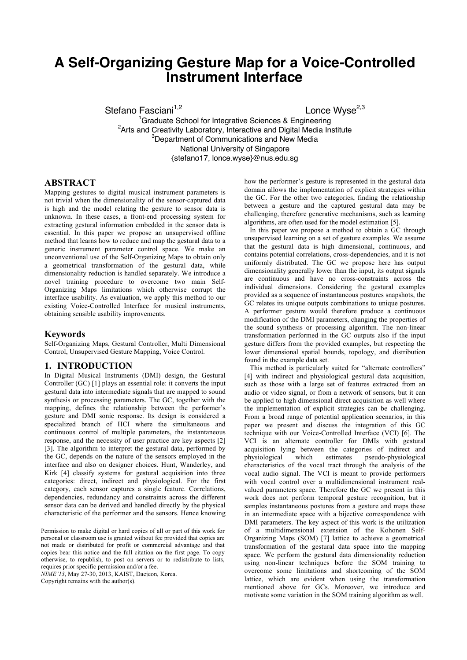# **A Self-Organizing Gesture Map for a Voice-Controlled Instrument Interface**

Stefano Fasciani<sup>1,2</sup>

Lonce Wyse<sup>2,3</sup>

<sup>1</sup>Graduate School for Integrative Sciences & Engineering <sup>2</sup>Arts and Creativity Laboratory, Interactive and Digital Media Institute <sup>3</sup>Department of Communications and New Media National University of Singapore {stefano17, lonce.wyse}@nus.edu.sg

## **ABSTRACT**

Mapping gestures to digital musical instrument parameters is not trivial when the dimensionality of the sensor-captured data is high and the model relating the gesture to sensor data is unknown. In these cases, a front-end processing system for extracting gestural information embedded in the sensor data is essential. In this paper we propose an unsupervised offline method that learns how to reduce and map the gestural data to a generic instrument parameter control space. We make an unconventional use of the Self-Organizing Maps to obtain only a geometrical transformation of the gestural data, while dimensionality reduction is handled separately. We introduce a novel training procedure to overcome two main Self-Organizing Maps limitations which otherwise corrupt the interface usability. As evaluation, we apply this method to our existing Voice-Controlled Interface for musical instruments, obtaining sensible usability improvements.

#### **Keywords**

Self-Organizing Maps, Gestural Controller, Multi Dimensional Control, Unsupervised Gesture Mapping, Voice Control.

# **1. INTRODUCTION**

In Digital Musical Instruments (DMI) design, the Gestural Controller (GC) [1] plays an essential role: it converts the input gestural data into intermediate signals that are mapped to sound synthesis or processing parameters. The GC, together with the mapping, defines the relationship between the performer's gesture and DMI sonic response. Its design is considered a specialized branch of HCI where the simultaneous and continuous control of multiple parameters, the instantaneous response, and the necessity of user practice are key aspects [2] [3]. The algorithm to interpret the gestural data, performed by the GC, depends on the nature of the sensors employed in the interface and also on designer choices. Hunt, Wanderley, and Kirk [4] classify systems for gestural acquisition into three categories: direct, indirect and physiological. For the first category, each sensor captures a single feature. Correlations, dependencies, redundancy and constraints across the different sensor data can be derived and handled directly by the physical characteristic of the performer and the sensors. Hence knowing

Permission to make digital or hard copies of all or part of this work for personal or classroom use is granted without fee provided that copies are not made or distributed for profit or commercial advantage and that copies bear this notice and the full citation on the first page. To copy otherwise, to republish, to post on servers or to redistribute to lists, requires prior specific permission and/or a fee.

*NIME'13*, May 27-30, 2013, KAIST, Daejeon, Korea.

Copyright remains with the author(s).

how the performer's gesture is represented in the gestural data domain allows the implementation of explicit strategies within the GC. For the other two categories, finding the relationship between a gesture and the captured gestural data may be challenging, therefore generative mechanisms, such as learning algorithms, are often used for the model estimation [5].

In this paper we propose a method to obtain a GC through unsupervised learning on a set of gesture examples. We assume that the gestural data is high dimensional, continuous, and contains potential correlations, cross-dependencies, and it is not uniformly distributed. The GC we propose here has output dimensionality generally lower than the input, its output signals are continuous and have no cross-constraints across the individual dimensions. Considering the gestural examples provided as a sequence of instantaneous postures snapshots, the GC relates its unique outputs combinations to unique postures. A performer gesture would therefore produce a continuous modification of the DMI parameters, changing the properties of the sound synthesis or processing algorithm. The non-linear transformation performed in the GC outputs also if the input gesture differs from the provided examples, but respecting the lower dimensional spatial bounds, topology, and distribution found in the example data set.

This method is particularly suited for "alternate controllers" [4] with indirect and physiological gestural data acquisition, such as those with a large set of features extracted from an audio or video signal, or from a network of sensors, but it can be applied to high dimensional direct acquisition as well where the implementation of explicit strategies can be challenging. From a broad range of potential application scenarios, in this paper we present and discuss the integration of this GC technique with our Voice-Controlled Interface (VCI) [6]. The VCI is an alternate controller for DMIs with gestural acquisition lying between the categories of indirect and<br>physiological which estimates pseudo-physiological pseudo-physiological characteristics of the vocal tract through the analysis of the vocal audio signal. The VCI is meant to provide performers with vocal control over a multidimensional instrument realvalued parameters space. Therefore the GC we present in this work does not perform temporal gesture recognition, but it samples instantaneous postures from a gesture and maps these in an intermediate space with a bijective correspondence with DMI parameters. The key aspect of this work is the utilization of a multidimensional extension of the Kohonen Self-Organizing Maps (SOM) [7] lattice to achieve a geometrical transformation of the gestural data space into the mapping space. We perform the gestural data dimensionality reduction using non-linear techniques before the SOM training to overcome some limitations and shortcoming of the SOM lattice, which are evident when using the transformation mentioned above for GCs. Moreover, we introduce and motivate some variation in the SOM training algorithm as well.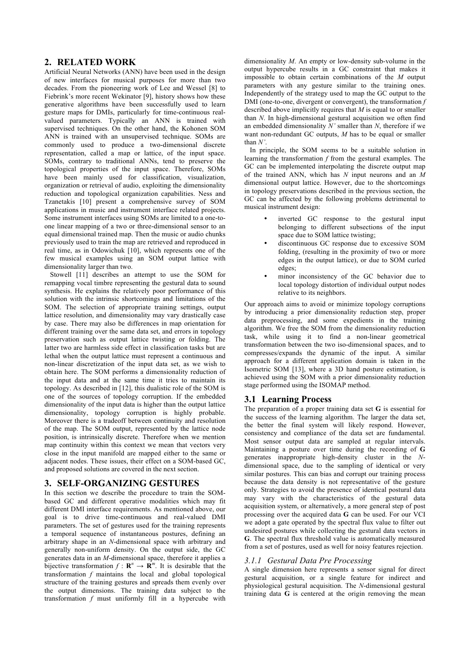# **2. RELATED WORK**

Artificial Neural Networks (ANN) have been used in the design of new interfaces for musical purposes for more than two decades. From the pioneering work of Lee and Wessel [8] to Fiebrink's more recent Wekinator [9], history shows how these generative algorithms have been successfully used to learn gesture maps for DMIs, particularly for time-continuous realvalued parameters. Typically an ANN is trained with supervised techniques. On the other hand, the Kohonen SOM ANN is trained with an unsupervised technique. SOMs are commonly used to produce a two-dimensional discrete representation, called a map or lattice, of the input space. SOMs, contrary to traditional ANNs, tend to preserve the topological properties of the input space. Therefore, SOMs have been mainly used for classification, visualization, organization or retrieval of audio, exploiting the dimensionality reduction and topological organization capabilities. Ness and Tzanetakis [10] present a comprehensive survey of SOM applications in music and instrument interface related projects. Some instrument interfaces using SOMs are limited to a one-toone linear mapping of a two or three-dimensional sensor to an equal dimensional trained map. Then the music or audio chunks previously used to train the map are retrieved and reproduced in real time, as in Odowichuk [10], which represents one of the few musical examples using an SOM output lattice with dimensionality larger than two.

Stowell [11] describes an attempt to use the SOM for remapping vocal timbre representing the gestural data to sound synthesis. He explains the relatively poor performance of this solution with the intrinsic shortcomings and limitations of the SOM. The selection of appropriate training settings, output lattice resolution, and dimensionality may vary drastically case by case. There may also be differences in map orientation for different training over the same data set, and errors in topology preservation such as output lattice twisting or folding. The latter two are harmless side effect in classification tasks but are lethal when the output lattice must represent a continuous and non-linear discretization of the input data set, as we wish to obtain here. The SOM performs a dimensionality reduction of the input data and at the same time it tries to maintain its topology. As described in [12], this dualistic role of the SOM is one of the sources of topology corruption. If the embedded dimensionality of the input data is higher than the output lattice dimensionality, topology corruption is highly probable. Moreover there is a tradeoff between continuity and resolution of the map. The SOM output, represented by the lattice node position, is intrinsically discrete. Therefore when we mention map continuity within this context we mean that vectors very close in the input manifold are mapped either to the same or adjacent nodes. These issues, their effect on a SOM-based GC, and proposed solutions are covered in the next section.

## **3. SELF-ORGANIZING GESTURES**

In this section we describe the procedure to train the SOMbased GC and different operative modalities which may fit different DMI interface requirements. As mentioned above, our goal is to drive time-continuous and real-valued DMI parameters. The set of gestures used for the training represents a temporal sequence of instantaneous postures, defining an arbitrary shape in an *N*-dimensional space with arbitrary and generally non-uniform density. On the output side, the GC generates data in an *M*-dimensional space, therefore it applies a bijective transformation  $f : \mathbb{R}^n \to \mathbb{R}^m$ . It is desirable that the transformation *f* maintains the local and global topological structure of the training gestures and spreads them evenly over the output dimensions. The training data subject to the transformation *f* must uniformly fill in a hypercube with

dimensionality *M*. An empty or low-density sub-volume in the output hypercube results in a GC constraint that makes it impossible to obtain certain combinations of the *M* output parameters with any gesture similar to the training ones. Independently of the strategy used to map the GC output to the DMI (one-to-one, divergent or convergent), the transformation *f* described above implicitly requires that *M* is equal to or smaller than *N*. In high-dimensional gestural acquisition we often find an embedded dimensionality *N'* smaller than *N*, therefore if we want non-redundant GC outputs, *M* has to be equal or smaller than *N'*.

In principle, the SOM seems to be a suitable solution in learning the transformation *f* from the gestural examples. The GC can be implemented interpolating the discrete output map of the trained ANN, which has *N* input neurons and an *M* dimensional output lattice. However, due to the shortcomings in topology preservations described in the previous section, the GC can be affected by the following problems detrimental to musical instrument design:

- inverted GC response to the gestural input belonging to different subsections of the input space due to SOM lattice twisting;
- discontinuous GC response due to excessive SOM folding, (resulting in the proximity of two or more edges in the output lattice), or due to SOM curled edges;
- minor inconsistency of the GC behavior due to local topology distortion of individual output nodes relative to its neighbors.

Our approach aims to avoid or minimize topology corruptions by introducing a prior dimensionality reduction step, proper data preprocessing, and some expedients in the training algorithm. We free the SOM from the dimensionality reduction task, while using it to find a non-linear geometrical transformation between the two iso-dimensional spaces, and to compresses/expands the dynamic of the input. A similar approach for a different application domain is taken in the Isometric SOM [13], where a 3D hand posture estimation, is achieved using the SOM with a prior dimensionality reduction stage performed using the ISOMAP method.

## **3.1 Learning Process**

The preparation of a proper training data set **G** is essential for the success of the learning algorithm. The larger the data set, the better the final system will likely respond. However, consistency and compliance of the data set are fundamental. Most sensor output data are sampled at regular intervals. Maintaining a posture over time during the recording of **G** generates inappropriate high-density cluster in the *N*dimensional space, due to the sampling of identical or very similar postures. This can bias and corrupt our training process because the data density is not representative of the gesture only. Strategies to avoid the presence of identical postural data may vary with the characteristics of the gestural data acquisition system, or alternatively, a more general step of post processing over the acquired data **G** can be used. For our VCI we adopt a gate operated by the spectral flux value to filter out undesired postures while collecting the gestural data vectors in **G**. The spectral flux threshold value is automatically measured from a set of postures, used as well for noisy features rejection.

# *3.1.1 Gestural Data Pre Processing*

A single dimension here represents a sensor signal for direct gestural acquisition, or a single feature for indirect and physiological gestural acquisition. The *N*-dimensional gestural training data **G** is centered at the origin removing the mean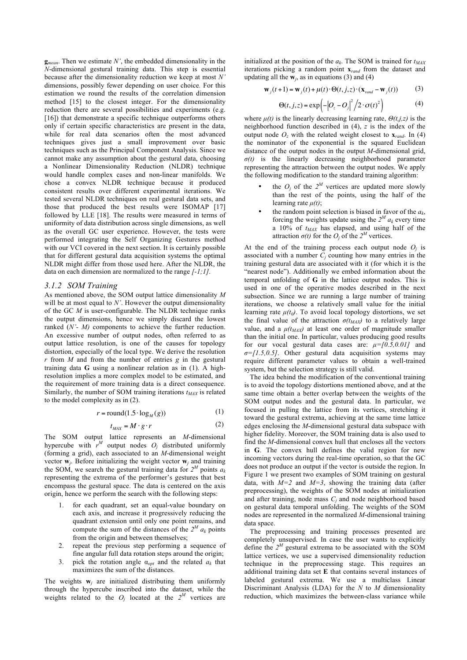**g***mean*. Then we estimate *N'*, the embedded dimensionality in the *N*-dimensional gestural training data. This step is essential because after the dimensionality reduction we keep at most *N'* dimensions, possibly fewer depending on user choice*.* For this estimation we round the results of the correlation dimension method [15] to the closest integer. For the dimensionality reduction there are several possibilities and experiments (e.g. [16]) that demonstrate a specific technique outperforms others only if certain specific characteristics are present in the data, while for real data scenarios often the most advanced techniques gives just a small improvement over basic techniques such as the Principal Component Analysis. Since we cannot make any assumption about the gestural data, choosing a Nonlinear Dimensionality Reduction (NLDR) technique would handle complex cases and non-linear manifolds. We chose a convex NLDR technique because it produced consistent results over different experimental iterations. We tested several NLDR techniques on real gestural data sets, and those that produced the best results were ISOMAP [17] followed by LLE [18]. The results were measured in terms of uniformity of data distribution across single dimensions, as well as the overall GC user experience. However, the tests were performed integrating the Self Organizing Gestures method with our VCI covered in the next section. It is certainly possible that for different gestural data acquisition systems the optimal NLDR might differ from those used here. After the NLDR, the data on each dimension are normalized to the range *[-1;1].*

### *3.1.2 SOM Training*

As mentioned above, the SOM output lattice dimensionality *M* will be at most equal to *N'*. However the output dimensionality of the GC *M* is user-configurable. The NLDR technique ranks the output dimensions, hence we simply discard the lowest ranked (*N'- M*) components to achieve the further reduction. An excessive number of output nodes, often referred to as output lattice resolution, is one of the causes for topology distortion, especially of the local type. We derive the resolution *r* from *M* and from the number of entries *g* in the gestural training data **G** using a nonlinear relation as in (1). A highresolution implies a more complex model to be estimated, and the requirement of more training data is a direct consequence. Similarly, the number of SOM training iterations  $t_{MAX}$  is related to the model complexity as in (2).

$$
r = \text{round}(1.5 \cdot \log_M(g)) \tag{1}
$$

$$
t_{MAX} = M \cdot g \cdot r \tag{2}
$$

The SOM output lattice represents an *M*-dimensional hypercube with  $r^M$  output nodes  $O_j$  distributed uniformly (forming a grid), each associated to an *M*-dimensional weight vector **w***<sup>j</sup>* . Before initializing the weight vector **w***<sup>j</sup>* and training the SOM, we search the gestural training data for  $2^M$  points  $a_k$ representing the extrema of the performer's gestures that best encompass the gestural space. The data is centered on the axis origin, hence we perform the search with the following steps:

- 1. for each quadrant, set an equal-value boundary on each axis, and increase it progressively reducing the quadrant extension until only one point remains, and compute the sum of the distances of the  $2^M a_k$  points from the origin and between themselves;
- 2. repeat the previous step performing a sequence of fine angular full data rotation steps around the origin;
- 3. pick the rotation angle  $\alpha_{opt}$  and the related  $a_k$  that maximizes the sum of the distances.

The weights **w***<sup>j</sup>* are initialized distributing them uniformly through the hypercube inscribed into the dataset, while the weights related to the  $O_j$  located at the  $2^M$  vertices are

initialized at the position of the  $a_k$ . The SOM is trained for  $t_{MAX}$ iterations picking a random point **x***rand* from the dataset and updating all the **w***<sup>j</sup>* , as in equations (3) and (4)

$$
\mathbf{w}_j(t+1) = \mathbf{w}_j(t) + \mu(t) \cdot \Theta(t, j, z) \cdot (\mathbf{x}_{rand} - \mathbf{w}_j(t))
$$
 (3)

$$
\Theta(t, j, z) = \exp\left(-\left|O_z - O_j\right|^2 / 2 \cdot \sigma(t)^2\right) \tag{4}
$$

where  $\mu(t)$  is the linearly decreasing learning rate,  $\Theta(t, j, z)$  is the neighborhood function described in (4), *z* is the index of the output node  $O$ <sub>*z*</sub> with the related weight closest to  $\mathbf{x}_{rand}$ . In (4) the nominator of the exponential is the squared Euclidean distance of the output nodes in the output *M*-dimensional grid, *σ(t)* is the linearly decreasing neighborhood parameter representing the attraction between the output nodes. We apply the following modification to the standard training algorithm:

- the  $O_j$  of the  $2^M$  vertices are updated more slowly than the rest of the points, using the half of the learning rate  $\mu(t)$ ;
- the random point selection is biased in favor of the  $a_k$ , forcing the weights update using the  $2^M a_k$  every time a 10% of *tMAX* has elapsed, and using half of the attraction  $\sigma(t)$  for the  $O_j$  of the  $2^M$  vertices.

At the end of the training process each output node  $O_j$  is associated with a number  $C_i$  counting how many entries in the training gestural data are associated with it (for which it is the "nearest node"). Additionally we embed information about the temporal unfolding of **G** in the lattice output nodes. This is used in one of the operative modes described in the next subsection. Since we are running a large number of training iterations, we choose a relatively small value for the initial learning rate  $\mu(t_0)$ . To avoid local topology distortions, we set the final value of the attraction  $\sigma(t_{MAX})$  to a relatively large value, and a  $\mu$ ( $t_{MAX}$ ) at least one order of magnitude smaller than the initial one. In particular, values producing good results for our vocal gestural data cases are:  $\mu = [0.5, 0.01]$  and *σ=[1.5,0.5]*. Other gestural data acquisition systems may require different parameter values to obtain a well-trained system, but the selection strategy is still valid.

The idea behind the modification of the conventional training is to avoid the topology distortions mentioned above, and at the same time obtain a better overlap between the weights of the SOM output nodes and the gestural data. In particular, we focused in pulling the lattice from its vertices, stretching it toward the gestural extrema, achieving at the same time lattice edges enclosing the *M*-dimensional gestural data subspace with higher fidelity. Moreover, the SOM training data is also used to find the *M*-dimensional convex hull that encloses all the vectors in **G**. The convex hull defines the valid region for new incoming vectors during the real-time operation, so that the GC does not produce an output if the vector is outside the region. In Figure 1 we present two examples of SOM training on gestural data, with  $\overline{M}$  = 2 and  $\overline{M}$  = 3, showing the training data (after preprocessing), the weights of the SOM nodes at initialization and after training, node mass  $C_i$  and node neighborhood based on gestural data temporal unfolding. The weights of the SOM nodes are represented in the normalized *M*-dimensional training data space.

The preprocessing and training processes presented are completely unsupervised. In case the user wants to explicitly define the  $2^M$  gestural extrema to be associated with the SOM lattice vertices, we use a supervised dimensionality reduction technique in the preprocessing stage. This requires an additional training data set **E** that contains several instances of labeled gestural extrema. We use a multiclass Linear Discriminant Analysis (LDA) for the *N* to *M* dimensionality reduction, which maximizes the between-class variance while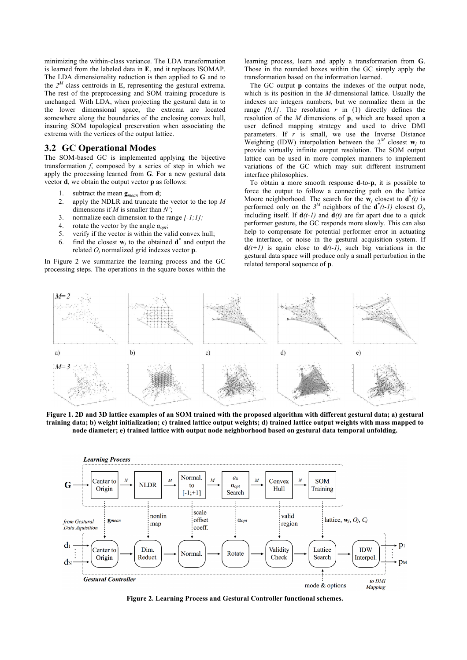minimizing the within-class variance. The LDA transformation is learned from the labeled data in **E**, and it replaces ISOMAP. The LDA dimensionality reduction is then applied to **G** and to the  $2^M$  class centroids in **E**, representing the gestural extrema. The rest of the preprocessing and SOM training procedure is unchanged. With LDA, when projecting the gestural data in to the lower dimensional space, the extrema are located somewhere along the boundaries of the enclosing convex hull, insuring SOM topological preservation when associating the extrema with the vertices of the output lattice.

## **3.2 GC Operational Modes**

The SOM-based GC is implemented applying the bijective transformation *f*, composed by a series of step in which we apply the processing learned from **G**. For a new gestural data vector **d**, we obtain the output vector **p** as follows:

- 1. subtract the mean **g***mean* from **d**;
- 2. apply the NDLR and truncate the vector to the top *M* dimensions if *M* is smaller than *N'*;
- 3. normalize each dimension to the range *[-1;1];*
- 4. rotate the vector by the angle α*opt*;
- 5. verify if the vector is within the valid convex hull;
- 6. find the closest  $w_j$  to the obtained  $d^*$  and output the related *O<sup>j</sup>* normalized grid indexes vector **p**.

In Figure 2 we summarize the learning process and the GC processing steps. The operations in the square boxes within the learning process, learn and apply a transformation from **G**. Those in the rounded boxes within the GC simply apply the transformation based on the information learned.

The GC output **p** contains the indexes of the output node, which is its position in the *M*-dimensional lattice. Usually the indexes are integers numbers, but we normalize them in the range  $[0,1]$ . The resolution  $r$  in (1) directly defines the resolution of the *M* dimensions of **p**, which are based upon a user defined mapping strategy and used to drive DMI parameters. If *r* is small, we use the Inverse Distance Weighting (IDW) interpolation between the  $2^M$  closest  $\mathbf{w}_j$  to provide virtually infinite output resolution. The SOM output lattice can be used in more complex manners to implement variations of the GC which may suit different instrument interface philosophies.

To obtain a more smooth response **d**-to-**p**, it is possible to force the output to follow a connecting path on the lattice Moore neighborhood. The search for the  $\mathbf{w}_j$  closest to  $\mathbf{d}^*(t)$  is performed only on the  $3^M$  neighbors of the  $\mathbf{d}^*(t-1)$  closest  $O_j$ , including itself. If  $d(t-1)$  and  $d(t)$  are far apart due to a quick performer gesture, the GC responds more slowly. This can also help to compensate for potential performer error in actuating the interface, or noise in the gestural acquisition system. If  $d(t+1)$  is again close to  $d(t-1)$ , such big variations in the gestural data space will produce only a small perturbation in the related temporal sequence of **p**.



**Figure 1. 2D and 3D lattice examples of an SOM trained with the proposed algorithm with different gestural data; a) gestural training data; b) weight initialization; c) trained lattice output weights; d) trained lattice output weights with mass mapped to node diameter; e) trained lattice with output node neighborhood based on gestural data temporal unfolding.**



**Figure 2. Learning Process and Gestural Controller functional schemes.**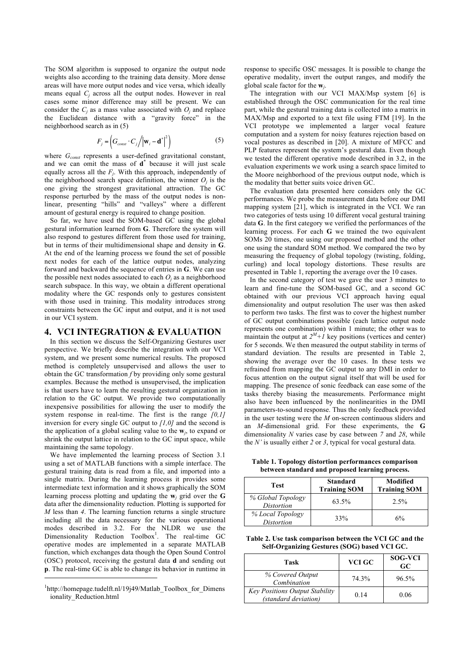The SOM algorithm is supposed to organize the output node weights also according to the training data density. More dense areas will have more output nodes and vice versa, which ideally means equal  $C_i$  across all the output nodes. However in real cases some minor difference may still be present. We can consider the  $C_i$  as a mass value associated with  $O_i$  and replace the Euclidean distance with a "gravity force" in the neighborhood search as in (5)

$$
F_j = \left(G_{const} \cdot C_j / \left| \mathbf{w}_i - \mathbf{d}^* \right|^2 \right) \tag{5}
$$

where *Gconst* represents a user-defined gravitational constant, and we can omit the mass of **d \*** because it will just scale equally across all the *F<sup>j</sup>* . With this approach, independently of the neighborhood search space definition, the winner  $O_j$  is the one giving the strongest gravitational attraction. The GC response perturbed by the mass of the output nodes is nonlinear, presenting "hills" and "valleys" where a different amount of gestural energy is required to change position.

So far, we have used the SOM-based GC using the global gestural information learned from **G**. Therefore the system will also respond to gestures different from those used for training, but in terms of their multidimensional shape and density in **G**. At the end of the learning process we found the set of possible next nodes for each of the lattice output nodes, analyzing forward and backward the sequence of entries in **G**. We can use the possible next nodes associated to each  $O_i$  as a neighborhood search subspace. In this way, we obtain a different operational modality where the GC responds only to gestures consistent with those used in training. This modality introduces strong constraints between the GC input and output, and it is not used in our VCI system.

### **4. VCI INTEGRATION & EVALUATION**

In this section we discuss the Self-Organizing Gestures user perspective. We briefly describe the integration with our VCI system, and we present some numerical results. The proposed method is completely unsupervised and allows the user to obtain the GC transformation *f* by providing only some gestural examples. Because the method is unsupervised, the implication is that users have to learn the resulting gestural organization in relation to the GC output. We provide two computationally inexpensive possibilities for allowing the user to modify the system response in real-time. The first is the range *[0,1]* inversion for every single GC output to *[1,0]* and the second is the application of a global scaling value to the **w***<sup>j</sup>* , to expand or shrink the output lattice in relation to the GC input space, while maintaining the same topology.

We have implemented the learning process of Section 3.1 using a set of MATLAB functions with a simple interface. The gestural training data is read from a file, and imported into a single matrix. During the learning process it provides some intermediate text information and it shows graphically the SOM learning process plotting and updating the **w***<sup>j</sup>* grid over the **G** data after the dimensionality reduction. Plotting is supported for *M* less than *4*. The learning function returns a single structure including all the data necessary for the various operational modes described in 3.2. For the NLDR we use the Dimensionality Reduction Toolbox<sup>1</sup>. The real-time GC operative modes are implemented in a separate MATLAB function, which exchanges data though the Open Sound Control (OSC) protocol, receiving the gestural data **d** and sending out **p**. The real-time GC is able to change its behavior in runtime in

j

response to specific OSC messages. It is possible to change the operative modality, invert the output ranges, and modify the global scale factor for the **w***<sup>j</sup>* .

The integration with our VCI MAX/Msp system [6] is established through the OSC communication for the real time part, while the gestural training data is collected into a matrix in MAX/Msp and exported to a text file using FTM [19]. In the VCI prototype we implemented a larger vocal feature computation and a system for noisy features rejection based on vocal postures as described in [20]. A mixture of MFCC and PLP features represent the system's gestural data. Even though we tested the different operative mode described in 3.2, in the evaluation experiments we work using a search space limited to the Moore neighborhood of the previous output node, which is the modality that better suits voice driven GC.

The evaluation data presented here considers only the GC performances. We probe the measurement data before our DMI mapping system [21], which is integrated in the VCI. We ran two categories of tests using 10 different vocal gestural training data **G**. In the first category we verified the performances of the learning process. For each **G** we trained the two equivalent SOMs 20 times, one using our proposed method and the other one using the standard SOM method. We compared the two by measuring the frequency of global topology (twisting, folding, curling) and local topology distortions. These results are presented in Table 1, reporting the average over the 10 cases.

In the second category of test we gave the user 3 minutes to learn and fine-tune the SOM-based GC, and a second GC obtained with our previous VCI approach having equal dimensionality and output resolution The user was then asked to perform two tasks. The first was to cover the highest number of GC output combinations possible (each lattice output node represents one combination) within 1 minute; the other was to maintain the output at  $2^M + 1$  key positions (vertices and center) for 5 seconds. We then measured the output stability in terms of standard deviation. The results are presented in Table 2, showing the average over the 10 cases. In these tests we refrained from mapping the GC output to any DMI in order to focus attention on the output signal itself that will be used for mapping. The presence of sonic feedback can ease some of the tasks thereby biasing the measurements. Performance might also have been influenced by the nonlinearities in the DMI parameters-to-sound response. Thus the only feedback provided in the user testing were the *M* on-screen continuous sliders and an *M-*dimensional grid. For these experiments, the **G** dimensionality *N* varies case by case between *7* and *28*, while the *N'* is usually either *2* or *3*, typical for vocal gestural data.

**Table 1. Topology distortion performances comparison between standard and proposed learning process.**

| Test                            | <b>Standard</b><br><b>Training SOM</b> | Modified<br><b>Training SOM</b> |
|---------------------------------|----------------------------------------|---------------------------------|
| % Global Topology<br>Distortion | 63.5%                                  | 2.5%                            |
| % Local Topology<br>Distortion  | 33%                                    | 6%                              |

**Table 2. Use task comparison between the VCI GC and the Self-Organizing Gestures (SOG) based VCI GC.** 

| Task                                                          | VCI GC | <b>SOG-VCI</b><br>GC |
|---------------------------------------------------------------|--------|----------------------|
| % Covered Output<br>Combination                               | 74.3%  | 96.5%                |
| <b>Key Positions Output Stability</b><br>(standard deviation) | 0.14   | 0.06                 |

<sup>&</sup>lt;sup>1</sup>http://homepage.tudelft.nl/19j49/Matlab\_Toolbox\_for\_Dimens ionality\_Reduction.html